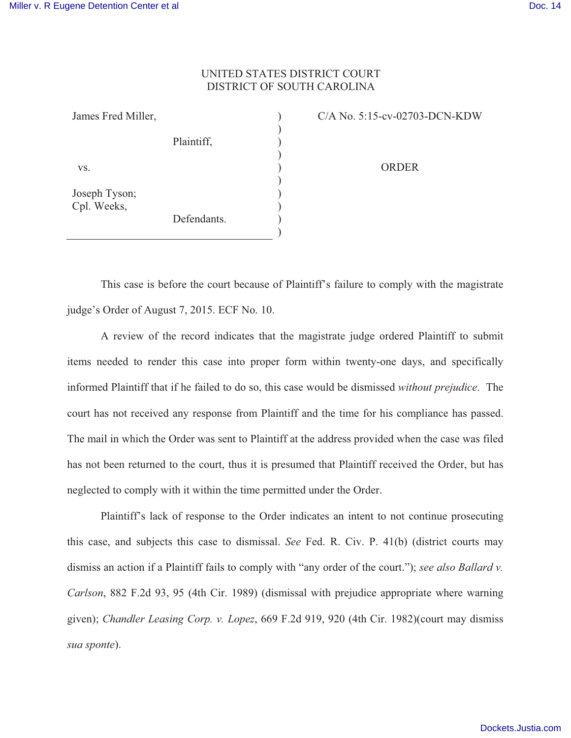## UNITED STATES DISTRICT COURT DISTRICT OF SOUTH CAROLINA

) ) ) ) ) ) ) ) ) )

James Fred Miller, Plaintiff, vs. Joseph Tyson; Cpl. Weeks, Defendants. C/A No. 5:15-cv-02703-DCN-KDW

ORDER

This case is before the court because of Plaintiff's failure to comply with the magistrate judge's Order of August 7, 2015. ECF No. 10.

 A review of the record indicates that the magistrate judge ordered Plaintiff to submit items needed to render this case into proper form within twenty-one days, and specifically informed Plaintiff that if he failed to do so, this case would be dismissed *without prejudice*. The court has not received any response from Plaintiff and the time for his compliance has passed. The mail in which the Order was sent to Plaintiff at the address provided when the case was filed has not been returned to the court, thus it is presumed that Plaintiff received the Order, but has neglected to comply with it within the time permitted under the Order.

 Plaintiff's lack of response to the Order indicates an intent to not continue prosecuting this case, and subjects this case to dismissal. *See* Fed. R. Civ. P. 41(b) (district courts may dismiss an action if a Plaintiff fails to comply with "any order of the court."); *see also Ballard v. Carlson*, 882 F.2d 93, 95 (4th Cir. 1989) (dismissal with prejudice appropriate where warning given); *Chandler Leasing Corp. v. Lopez*, 669 F.2d 919, 920 (4th Cir. 1982)(court may dismiss *sua sponte*).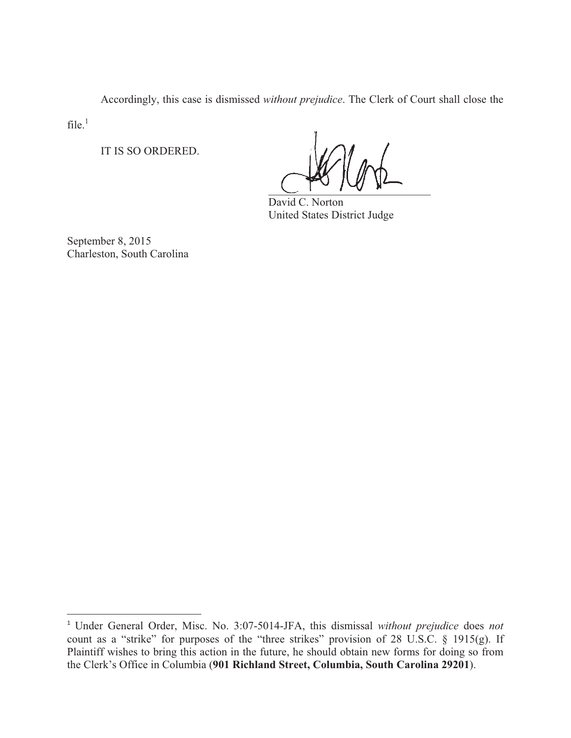Accordingly, this case is dismissed *without prejudice*. The Clerk of Court shall close the

 $file.<sup>1</sup>$ 

-----------------------------------------------------------

IT IS SO ORDERED.

 $\frac{1}{2}$ 

 David C. Norton United States District Judge

September 8, 2015 Charleston, South Carolina

<sup>1</sup> Under General Order, Misc. No. 3:07-5014-JFA, this dismissal *without prejudice* does *not* count as a "strike" for purposes of the "three strikes" provision of 28 U.S.C. § 1915(g). If Plaintiff wishes to bring this action in the future, he should obtain new forms for doing so from the Clerk's Office in Columbia (**901 Richland Street, Columbia, South Carolina 29201**).